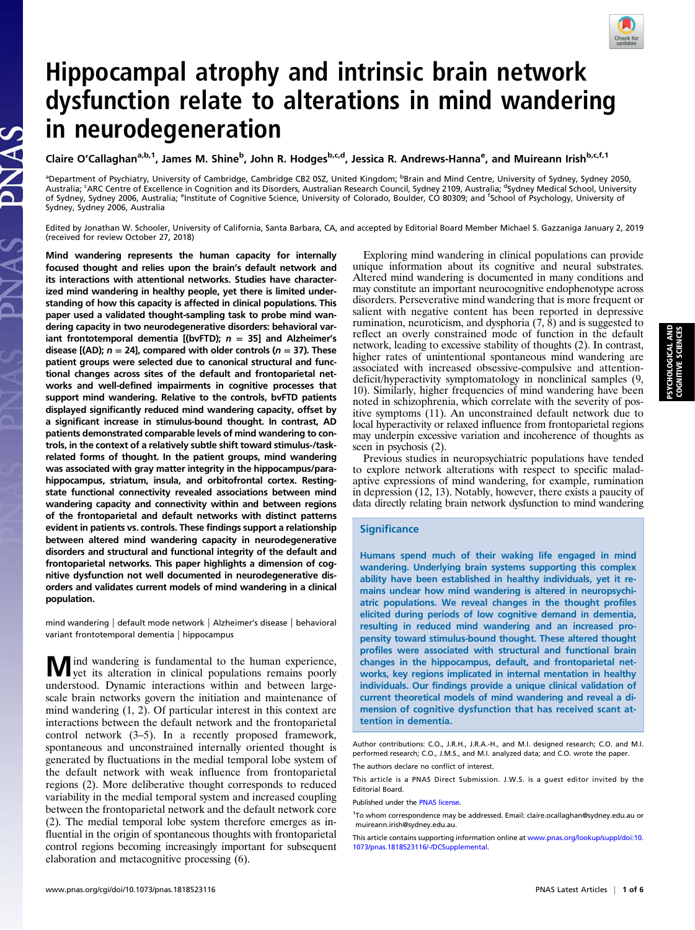

# Hippocampal atrophy and intrinsic brain network dysfunction relate to alterations in mind wandering in neurodegeneration

Claire O'Callaghan<sup>a,b,1</sup>, James M. Shine<sup>b</sup>, John R. Hodges<sup>b,c,d</sup>, Jessica R. Andrews-Hanna<sup>e</sup>, and Muireann Irish<sup>b,c,f,1</sup>

<sup>a</sup>Department of Psychiatry, University of Cambridge, Cambridge CB2 0SZ, United Kingdom; <sup>b</sup>Brain and Mind Centre, University of Sydney, Sydney 2050, Australia; <sup>c</sup>ARC Centre of Excellence in Cognition and its Disorders, Australian Research Council, Sydney 2109, Australia; <sup>d</sup>Sydney Medical School, University of Sydney, Sydney 2006, Australia; <sup>e</sup>lnstitute of Cognitive Science, University of Colorado, Boulder, CO 80309; and <sup>f</sup>School of Psychology, University of Sydney, Sydney 2006, Australia

Edited by Jonathan W. Schooler, University of California, Santa Barbara, CA, and accepted by Editorial Board Member Michael S. Gazzaniga January 2, 2019 (received for review October 27, 2018)

Mind wandering represents the human capacity for internally focused thought and relies upon the brain's default network and its interactions with attentional networks. Studies have characterized mind wandering in healthy people, yet there is limited understanding of how this capacity is affected in clinical populations. This paper used a validated thought-sampling task to probe mind wandering capacity in two neurodegenerative disorders: behavioral variant frontotemporal dementia [(bvFTD);  $n = 35$ ] and Alzheimer's disease [(AD);  $n = 24$ ], compared with older controls ( $n = 37$ ). These patient groups were selected due to canonical structural and functional changes across sites of the default and frontoparietal networks and well-defined impairments in cognitive processes that support mind wandering. Relative to the controls, bvFTD patients displayed significantly reduced mind wandering capacity, offset by a significant increase in stimulus-bound thought. In contrast, AD patients demonstrated comparable levels of mind wandering to controls, in the context of a relatively subtle shift toward stimulus-/taskrelated forms of thought. In the patient groups, mind wandering was associated with gray matter integrity in the hippocampus/parahippocampus, striatum, insula, and orbitofrontal cortex. Restingstate functional connectivity revealed associations between mind wandering capacity and connectivity within and between regions of the frontoparietal and default networks with distinct patterns evident in patients vs. controls. These findings support a relationship between altered mind wandering capacity in neurodegenerative disorders and structural and functional integrity of the default and frontoparietal networks. This paper highlights a dimension of cognitive dysfunction not well documented in neurodegenerative disorders and validates current models of mind wandering in a clinical population.

mind wandering | default mode network | Alzheimer's disease | behavioral variant frontotemporal dementia | hippocampus

M ind wandering is fundamental to the human experience,<br>yet its alteration in clinical populations remains poorly understood. Dynamic interactions within and between largescale brain networks govern the initiation and maintenance of mind wandering (1, 2). Of particular interest in this context are interactions between the default network and the frontoparietal control network (3–5). In a recently proposed framework, spontaneous and unconstrained internally oriented thought is generated by fluctuations in the medial temporal lobe system of the default network with weak influence from frontoparietal regions (2). More deliberative thought corresponds to reduced variability in the medial temporal system and increased coupling between the frontoparietal network and the default network core (2). The medial temporal lobe system therefore emerges as influential in the origin of spontaneous thoughts with frontoparietal control regions becoming increasingly important for subsequent elaboration and metacognitive processing (6).

Exploring mind wandering in clinical populations can provide unique information about its cognitive and neural substrates. Altered mind wandering is documented in many conditions and may constitute an important neurocognitive endophenotype across disorders. Perseverative mind wandering that is more frequent or salient with negative content has been reported in depressive rumination, neuroticism, and dysphoria  $(7, 8)$  and is suggested to reflect an overly constrained mode of function in the default network, leading to excessive stability of thoughts (2). In contrast, higher rates of unintentional spontaneous mind wandering are associated with increased obsessive-compulsive and attentiondeficit/hyperactivity symptomatology in nonclinical samples (9, 10). Similarly, higher frequencies of mind wandering have been noted in schizophrenia, which correlate with the severity of positive symptoms (11). An unconstrained default network due to local hyperactivity or relaxed influence from frontoparietal regions may underpin excessive variation and incoherence of thoughts as seen in psychosis (2).

Previous studies in neuropsychiatric populations have tended to explore network alterations with respect to specific maladaptive expressions of mind wandering, for example, rumination in depression (12, 13). Notably, however, there exists a paucity of data directly relating brain network dysfunction to mind wandering

## **Significance**

Humans spend much of their waking life engaged in mind wandering. Underlying brain systems supporting this complex ability have been established in healthy individuals, yet it remains unclear how mind wandering is altered in neuropsychiatric populations. We reveal changes in the thought profiles elicited during periods of low cognitive demand in dementia, resulting in reduced mind wandering and an increased propensity toward stimulus-bound thought. These altered thought profiles were associated with structural and functional brain changes in the hippocampus, default, and frontoparietal networks, key regions implicated in internal mentation in healthy individuals. Our findings provide a unique clinical validation of current theoretical models of mind wandering and reveal a dimension of cognitive dysfunction that has received scant attention in dementia.

The authors declare no conflict of interest.

This article is a PNAS Direct Submission. J.W.S. is a guest editor invited by the Editorial Board.

Published under the [PNAS license.](https://www.pnas.org/site/aboutpnas/licenses.xhtml)

Author contributions: C.O., J.R.H., J.R.A.-H., and M.I. designed research; C.O. and M.I. performed research; C.O., J.M.S., and M.I. analyzed data; and C.O. wrote the paper.

<sup>&</sup>lt;sup>1</sup>To whom correspondence may be addressed. Email: [claire.ocallaghan@sydney.edu.au](mailto:claire.ocallaghan@sydney.edu.au) or [muireann.irish@sydney.edu.au](mailto:muireann.irish@sydney.edu.au).

This article contains supporting information online at [www.pnas.org/lookup/suppl/doi:10.](https://www.pnas.org/lookup/suppl/doi:10.1073/pnas.1818523116/-/DCSupplemental) [1073/pnas.1818523116/-/DCSupplemental](https://www.pnas.org/lookup/suppl/doi:10.1073/pnas.1818523116/-/DCSupplemental).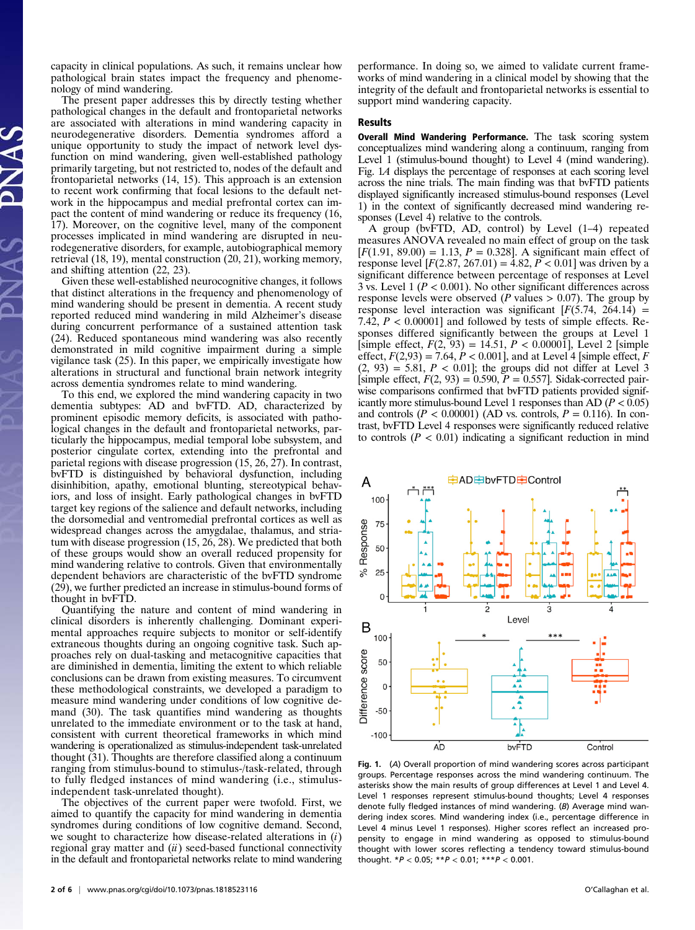capacity in clinical populations. As such, it remains unclear how pathological brain states impact the frequency and phenomenology of mind wandering.

The present paper addresses this by directly testing whether pathological changes in the default and frontoparietal networks are associated with alterations in mind wandering capacity in neurodegenerative disorders. Dementia syndromes afford a unique opportunity to study the impact of network level dysfunction on mind wandering, given well-established pathology primarily targeting, but not restricted to, nodes of the default and frontoparietal networks (14, 15). This approach is an extension to recent work confirming that focal lesions to the default network in the hippocampus and medial prefrontal cortex can impact the content of mind wandering or reduce its frequency (16, 17). Moreover, on the cognitive level, many of the component processes implicated in mind wandering are disrupted in neurodegenerative disorders, for example, autobiographical memory retrieval (18, 19), mental construction (20, 21), working memory, and shifting attention (22, 23).

Given these well-established neurocognitive changes, it follows that distinct alterations in the frequency and phenomenology of mind wandering should be present in dementia. A recent study reported reduced mind wandering in mild Alzheimer's disease during concurrent performance of a sustained attention task (24). Reduced spontaneous mind wandering was also recently demonstrated in mild cognitive impairment during a simple vigilance task (25). In this paper, we empirically investigate how alterations in structural and functional brain network integrity across dementia syndromes relate to mind wandering.

To this end, we explored the mind wandering capacity in two dementia subtypes: AD and bvFTD. AD, characterized by prominent episodic memory deficits, is associated with pathological changes in the default and frontoparietal networks, particularly the hippocampus, medial temporal lobe subsystem, and posterior cingulate cortex, extending into the prefrontal and parietal regions with disease progression  $(15, 26, 27)$ . In contrast, bvFTD is distinguished by behavioral dysfunction, including disinhibition, apathy, emotional blunting, stereotypical behaviors, and loss of insight. Early pathological changes in bvFTD target key regions of the salience and default networks, including the dorsomedial and ventromedial prefrontal cortices as well as widespread changes across the amygdalae, thalamus, and striatum with disease progression (15, 26, 28). We predicted that both of these groups would show an overall reduced propensity for mind wandering relative to controls. Given that environmentally dependent behaviors are characteristic of the bvFTD syndrome (29), we further predicted an increase in stimulus-bound forms of thought in bvFTD.

Quantifying the nature and content of mind wandering in clinical disorders is inherently challenging. Dominant experimental approaches require subjects to monitor or self-identify extraneous thoughts during an ongoing cognitive task. Such approaches rely on dual-tasking and metacognitive capacities that are diminished in dementia, limiting the extent to which reliable conclusions can be drawn from existing measures. To circumvent these methodological constraints, we developed a paradigm to measure mind wandering under conditions of low cognitive demand (30). The task quantifies mind wandering as thoughts unrelated to the immediate environment or to the task at hand, consistent with current theoretical frameworks in which mind wandering is operationalized as stimulus-independent task-unrelated thought (31). Thoughts are therefore classified along a continuum ranging from stimulus-bound to stimulus-/task-related, through to fully fledged instances of mind wandering (i.e., stimulusindependent task-unrelated thought).

The objectives of the current paper were twofold. First, we aimed to quantify the capacity for mind wandering in dementia syndromes during conditions of low cognitive demand. Second, we sought to characterize how disease-related alterations in  $(i)$ regional gray matter and  $(ii)$  seed-based functional connectivity in the default and frontoparietal networks relate to mind wandering performance. In doing so, we aimed to validate current frameworks of mind wandering in a clinical model by showing that the integrity of the default and frontoparietal networks is essential to support mind wandering capacity.

#### Results

Overall Mind Wandering Performance. The task scoring system conceptualizes mind wandering along a continuum, ranging from Level 1 (stimulus-bound thought) to Level 4 (mind wandering). Fig. 1A displays the percentage of responses at each scoring level across the nine trials. The main finding was that bvFTD patients displayed significantly increased stimulus-bound responses (Level 1) in the context of significantly decreased mind wandering responses (Level 4) relative to the controls.

A group (bvFTD, AD, control) by Level (1–4) repeated measures ANOVA revealed no main effect of group on the task  $[F(1.91, 89.00) = 1.13, P = 0.328]$ . A significant main effect of response level  $[F(2.87, 267.01) = 4.82, P < 0.01]$  was driven by a significant difference between percentage of responses at Level 3 vs. Level 1 ( $P < 0.001$ ). No other significant differences across response levels were observed ( $P$  values  $> 0.07$ ). The group by response level interaction was significant  $[F(5.74, 264.14) =$ 7.42,  $P < 0.00001$  and followed by tests of simple effects. Responses differed significantly between the groups at Level 1 [simple effect,  $F(2, 93) = 14.51$ ,  $P < 0.00001$ ], Level 2 [simple effect,  $F(2,93) = 7.64$ ,  $P < 0.001$ , and at Level 4 [simple effect, F  $(2, 93) = 5.81$ ,  $P < 0.01$ ; the groups did not differ at Level 3 [simple effect,  $F(2, 93) = 0.590$ ,  $P = 0.557$ ]. Sidak-corrected pairwise comparisons confirmed that bvFTD patients provided significantly more stimulus-bound Level 1 responses than AD ( $P < 0.05$ ) and controls ( $P < 0.00001$ ) (AD vs. controls,  $P = 0.116$ ). In contrast, bvFTD Level 4 responses were significantly reduced relative to controls  $(P < 0.01)$  indicating a significant reduction in mind



Fig. 1. (A) Overall proportion of mind wandering scores across participant groups. Percentage responses across the mind wandering continuum. The asterisks show the main results of group differences at Level 1 and Level 4. Level 1 responses represent stimulus-bound thoughts; Level 4 responses denote fully fledged instances of mind wandering. (B) Average mind wandering index scores. Mind wandering index (i.e., percentage difference in Level 4 minus Level 1 responses). Higher scores reflect an increased propensity to engage in mind wandering as opposed to stimulus-bound thought with lower scores reflecting a tendency toward stimulus-bound thought.  $*P < 0.05$ ;  $**P < 0.01$ ;  $***P < 0.001$ .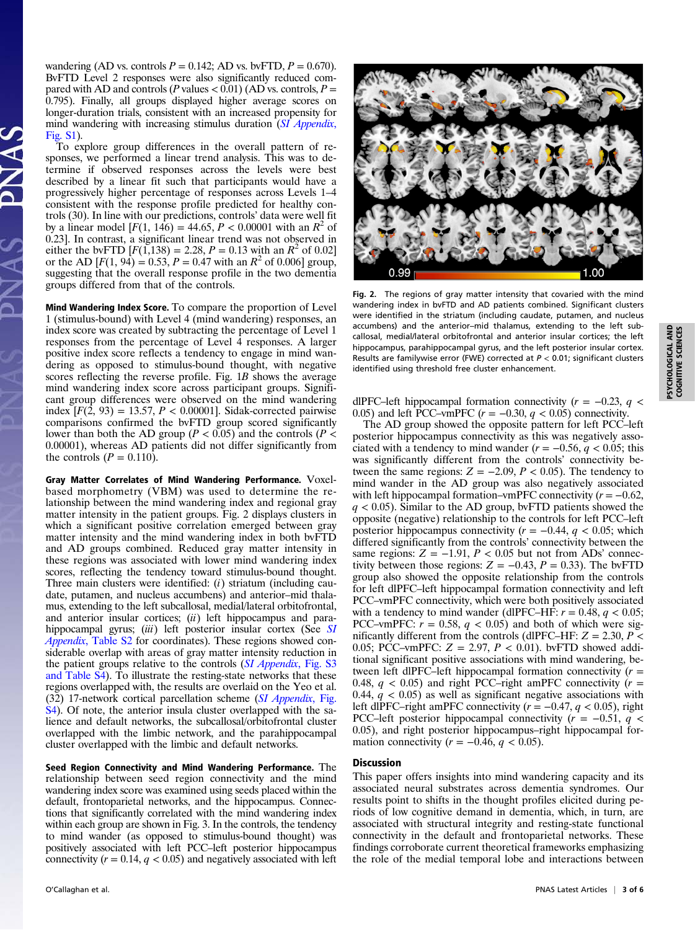wandering (AD vs. controls  $P = 0.142$ ; AD vs. bvFTD,  $P = 0.670$ ). BvFTD Level 2 responses were also significantly reduced compared with AD and controls (P values  $< 0.01$ ) (AD vs. controls, P = 0.795). Finally, all groups displayed higher average scores on longer-duration trials, consistent with an increased propensity for mind wandering with increasing stimulus duration ([SI Appendix](https://www.pnas.org/lookup/suppl/doi:10.1073/pnas.1818523116/-/DCSupplemental), [Fig. S1](https://www.pnas.org/lookup/suppl/doi:10.1073/pnas.1818523116/-/DCSupplemental)).

To explore group differences in the overall pattern of responses, we performed a linear trend analysis. This was to determine if observed responses across the levels were best described by a linear fit such that participants would have a progressively higher percentage of responses across Levels 1–4 consistent with the response profile predicted for healthy controls (30). In line with our predictions, controls' data were well fit by a linear model  $[F(1, 146) = 44.65, P < 0.00001$  with an  $R^2$  of 0.23]. In contrast, a significant linear trend was not observed in either the bvFTD  $[F(1,138) = 2.28, P = 0.13 \text{ with an } R^2 \text{ of } 0.02]$ or the AD  $[F(1, 94) = 0.53, P = 0.47$  with an  $R^2$  of 0.006] group, suggesting that the overall response profile in the two dementia groups differed from that of the controls.

Mind Wandering Index Score. To compare the proportion of Level 1 (stimulus-bound) with Level 4 (mind wandering) responses, an index score was created by subtracting the percentage of Level 1 responses from the percentage of Level 4 responses. A larger positive index score reflects a tendency to engage in mind wandering as opposed to stimulus-bound thought, with negative scores reflecting the reverse profile. Fig. 1B shows the average mind wandering index score across participant groups. Significant group differences were observed on the mind wandering index  $[F(2, 93) = 13.57, P < 0.00001]$ . Sidak-corrected pairwise comparisons confirmed the bvFTD group scored significantly lower than both the AD group ( $P < 0.05$ ) and the controls ( $P <$ 0.00001), whereas AD patients did not differ significantly from the controls  $(P = 0.110)$ .

Gray Matter Correlates of Mind Wandering Performance. Voxelbased morphometry (VBM) was used to determine the relationship between the mind wandering index and regional gray matter intensity in the patient groups. Fig. 2 displays clusters in which a significant positive correlation emerged between gray matter intensity and the mind wandering index in both bvFTD and AD groups combined. Reduced gray matter intensity in these regions was associated with lower mind wandering index scores, reflecting the tendency toward stimulus-bound thought. Three main clusters were identified:  $(i)$  striatum (including caudate, putamen, and nucleus accumbens) and anterior–mid thalamus, extending to the left subcallosal, medial/lateral orbitofrontal, and anterior insular cortices;  $(ii)$  left hippocampus and para-hippocampal gyrus; (iii) left posterior insular cortex (See [SI](https://www.pnas.org/lookup/suppl/doi:10.1073/pnas.1818523116/-/DCSupplemental) Appendix[, Table S2](https://www.pnas.org/lookup/suppl/doi:10.1073/pnas.1818523116/-/DCSupplemental) for coordinates). These regions showed considerable overlap with areas of gray matter intensity reduction in the patient groups relative to the controls (*[SI Appendix](https://www.pnas.org/lookup/suppl/doi:10.1073/pnas.1818523116/-/DCSupplemental)*, Fig. S3 [and Table S4\)](https://www.pnas.org/lookup/suppl/doi:10.1073/pnas.1818523116/-/DCSupplemental). To illustrate the resting-state networks that these regions overlapped with, the results are overlaid on the Yeo et al. (32) 17-network cortical parcellation scheme ([SI Appendix](https://www.pnas.org/lookup/suppl/doi:10.1073/pnas.1818523116/-/DCSupplemental), Fig. [S4\)](https://www.pnas.org/lookup/suppl/doi:10.1073/pnas.1818523116/-/DCSupplemental). Of note, the anterior insula cluster overlapped with the salience and default networks, the subcallosal/orbitofrontal cluster overlapped with the limbic network, and the parahippocampal cluster overlapped with the limbic and default networks.

Seed Region Connectivity and Mind Wandering Performance. The relationship between seed region connectivity and the mind wandering index score was examined using seeds placed within the default, frontoparietal networks, and the hippocampus. Connections that significantly correlated with the mind wandering index within each group are shown in Fig. 3. In the controls, the tendency to mind wander (as opposed to stimulus-bound thought) was positively associated with left PCC–left posterior hippocampus connectivity ( $r = 0.14$ ,  $q < 0.05$ ) and negatively associated with left



Fig. 2. The regions of gray matter intensity that covaried with the mind wandering index in bvFTD and AD patients combined. Significant clusters were identified in the striatum (including caudate, putamen, and nucleus accumbens) and the anterior–mid thalamus, extending to the left subcallosal, medial/lateral orbitofrontal and anterior insular cortices; the left hippocampus, parahippocampal gyrus, and the left posterior insular cortex. Results are familywise error (FWE) corrected at P < 0.01; significant clusters identified using threshold free cluster enhancement.

dlPFC–left hippocampal formation connectivity ( $r = -0.23$ ,  $q <$ 0.05) and left PCC–vmPFC  $(r = -0.30, q < 0.05)$  connectivity.

The AD group showed the opposite pattern for left PCC–left posterior hippocampus connectivity as this was negatively associated with a tendency to mind wander  $(r = -0.56, q < 0.05$ ; this was significantly different from the controls' connectivity between the same regions:  $Z = -2.09$ ,  $P < 0.05$ ). The tendency to mind wander in the AD group was also negatively associated with left hippocampal formation–vmPFC connectivity  $(r = -0.62,$  $q$  < 0.05). Similar to the AD group, bvFTD patients showed the opposite (negative) relationship to the controls for left PCC–left posterior hippocampus connectivity ( $r = -0.44$ ,  $q < 0.05$ ; which differed significantly from the controls' connectivity between the same regions:  $Z = -1.91$ ,  $P < 0.05$  but not from ADs' connectivity between those regions:  $Z = -0.43$ ,  $P = 0.33$ ). The bvFTD group also showed the opposite relationship from the controls for left dlPFC–left hippocampal formation connectivity and left PCC–vmPFC connectivity, which were both positively associated with a tendency to mind wander (dlPFC–HF:  $r = 0.48$ ,  $q < 0.05$ ; PCC–vmPFC:  $r = 0.58$ ,  $q < 0.05$ ) and both of which were significantly different from the controls (dlPFC–HF:  $Z = 2.30, P <$ 0.05; PCC–vmPFC:  $Z = 2.97$ ,  $P < 0.01$ ). bvFTD showed additional significant positive associations with mind wandering, between left dlPFC–left hippocampal formation connectivity  $(r =$ 0.48,  $q$  < 0.05) and right PCC–right amPFC connectivity ( $r =$ 0.44,  $q$  < 0.05) as well as significant negative associations with left dlPFC–right amPFC connectivity ( $r = -0.47$ ,  $q < 0.05$ ), right PCC–left posterior hippocampal connectivity ( $r = -0.51$ ,  $q <$ 0.05), and right posterior hippocampus–right hippocampal formation connectivity ( $r = -0.46$ ,  $q < 0.05$ ).

## Discussion

This paper offers insights into mind wandering capacity and its associated neural substrates across dementia syndromes. Our results point to shifts in the thought profiles elicited during periods of low cognitive demand in dementia, which, in turn, are associated with structural integrity and resting-state functional connectivity in the default and frontoparietal networks. These findings corroborate current theoretical frameworks emphasizing the role of the medial temporal lobe and interactions between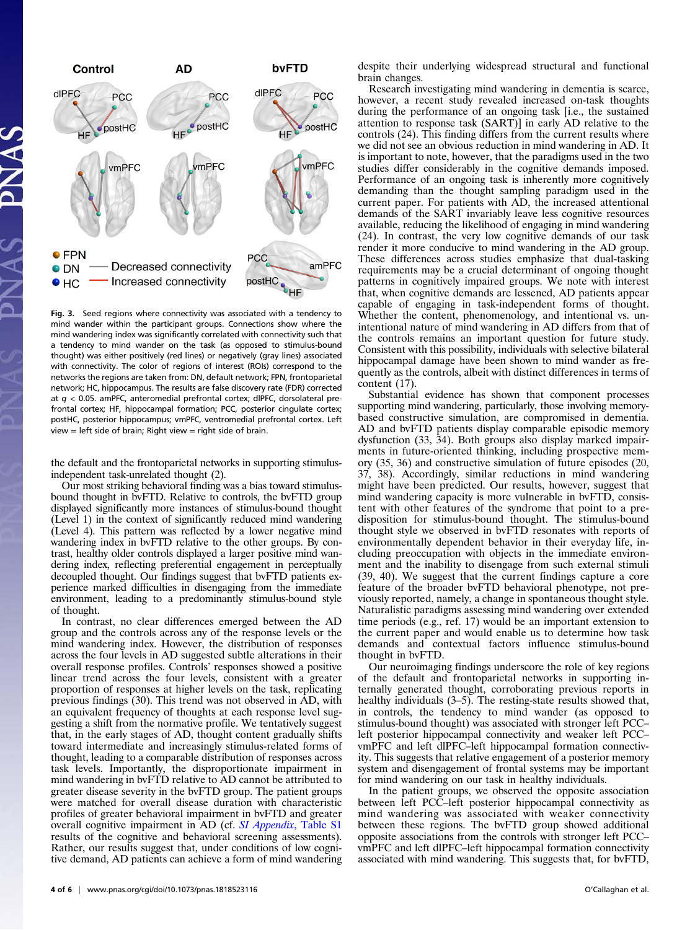

Fig. 3. Seed regions where connectivity was associated with a tendency to mind wander within the participant groups. Connections show where the mind wandering index was significantly correlated with connectivity such that a tendency to mind wander on the task (as opposed to stimulus-bound thought) was either positively (red lines) or negatively (gray lines) associated with connectivity. The color of regions of interest (ROIs) correspond to the networks the regions are taken from: DN, default network; FPN, frontoparietal network; HC, hippocampus. The results are false discovery rate (FDR) corrected at  $q$  < 0.05. amPFC, anteromedial prefrontal cortex; dlPFC, dorsolateral prefrontal cortex; HF, hippocampal formation; PCC, posterior cingulate cortex; postHC, posterior hippocampus; vmPFC, ventromedial prefrontal cortex. Left  $view = left$  side of brain; Right view = right side of brain.

the default and the frontoparietal networks in supporting stimulusindependent task-unrelated thought (2).

Our most striking behavioral finding was a bias toward stimulusbound thought in bvFTD. Relative to controls, the bvFTD group displayed significantly more instances of stimulus-bound thought (Level 1) in the context of significantly reduced mind wandering (Level 4). This pattern was reflected by a lower negative mind wandering index in bvFTD relative to the other groups. By contrast, healthy older controls displayed a larger positive mind wandering index, reflecting preferential engagement in perceptually decoupled thought. Our findings suggest that bvFTD patients experience marked difficulties in disengaging from the immediate environment, leading to a predominantly stimulus-bound style of thought.

In contrast, no clear differences emerged between the AD group and the controls across any of the response levels or the mind wandering index. However, the distribution of responses across the four levels in AD suggested subtle alterations in their overall response profiles. Controls' responses showed a positive linear trend across the four levels, consistent with a greater proportion of responses at higher levels on the task, replicating previous findings (30). This trend was not observed in AD, with an equivalent frequency of thoughts at each response level suggesting a shift from the normative profile. We tentatively suggest that, in the early stages of AD, thought content gradually shifts toward intermediate and increasingly stimulus-related forms of thought, leading to a comparable distribution of responses across task levels. Importantly, the disproportionate impairment in mind wandering in bvFTD relative to AD cannot be attributed to greater disease severity in the bvFTD group. The patient groups were matched for overall disease duration with characteristic profiles of greater behavioral impairment in bvFTD and greater overall cognitive impairment in AD (cf. SI Appendix[, Table S1](https://www.pnas.org/lookup/suppl/doi:10.1073/pnas.1818523116/-/DCSupplemental) results of the cognitive and behavioral screening assessments). Rather, our results suggest that, under conditions of low cognitive demand, AD patients can achieve a form of mind wandering

despite their underlying widespread structural and functional brain changes.

Research investigating mind wandering in dementia is scarce, however, a recent study revealed increased on-task thoughts during the performance of an ongoing task [i.e., the sustained attention to response task (SART)] in early AD relative to the controls (24). This finding differs from the current results where we did not see an obvious reduction in mind wandering in AD. It is important to note, however, that the paradigms used in the two studies differ considerably in the cognitive demands imposed. Performance of an ongoing task is inherently more cognitively demanding than the thought sampling paradigm used in the current paper. For patients with AD, the increased attentional demands of the SART invariably leave less cognitive resources available, reducing the likelihood of engaging in mind wandering (24). In contrast, the very low cognitive demands of our task render it more conducive to mind wandering in the AD group. These differences across studies emphasize that dual-tasking requirements may be a crucial determinant of ongoing thought patterns in cognitively impaired groups. We note with interest that, when cognitive demands are lessened, AD patients appear capable of engaging in task-independent forms of thought. Whether the content, phenomenology, and intentional vs. unintentional nature of mind wandering in AD differs from that of the controls remains an important question for future study. Consistent with this possibility, individuals with selective bilateral hippocampal damage have been shown to mind wander as frequently as the controls, albeit with distinct differences in terms of content (17).

Substantial evidence has shown that component processes supporting mind wandering, particularly, those involving memorybased constructive simulation, are compromised in dementia. AD and bvFTD patients display comparable episodic memory dysfunction (33, 34). Both groups also display marked impairments in future-oriented thinking, including prospective memory (35, 36) and constructive simulation of future episodes (20, 37, 38). Accordingly, similar reductions in mind wandering might have been predicted. Our results, however, suggest that mind wandering capacity is more vulnerable in bvFTD, consistent with other features of the syndrome that point to a predisposition for stimulus-bound thought. The stimulus-bound thought style we observed in bvFTD resonates with reports of environmentally dependent behavior in their everyday life, including preoccupation with objects in the immediate environment and the inability to disengage from such external stimuli (39, 40). We suggest that the current findings capture a core feature of the broader bvFTD behavioral phenotype, not previously reported, namely, a change in spontaneous thought style. Naturalistic paradigms assessing mind wandering over extended time periods (e.g., ref. 17) would be an important extension to the current paper and would enable us to determine how task demands and contextual factors influence stimulus-bound thought in bvFTD.

Our neuroimaging findings underscore the role of key regions of the default and frontoparietal networks in supporting internally generated thought, corroborating previous reports in healthy individuals (3–5). The resting-state results showed that, in controls, the tendency to mind wander (as opposed to stimulus-bound thought) was associated with stronger left PCC– left posterior hippocampal connectivity and weaker left PCC– vmPFC and left dlPFC–left hippocampal formation connectivity. This suggests that relative engagement of a posterior memory system and disengagement of frontal systems may be important for mind wandering on our task in healthy individuals.

In the patient groups, we observed the opposite association between left PCC–left posterior hippocampal connectivity as mind wandering was associated with weaker connectivity between these regions. The bvFTD group showed additional opposite associations from the controls with stronger left PCC– vmPFC and left dlPFC–left hippocampal formation connectivity associated with mind wandering. This suggests that, for bvFTD,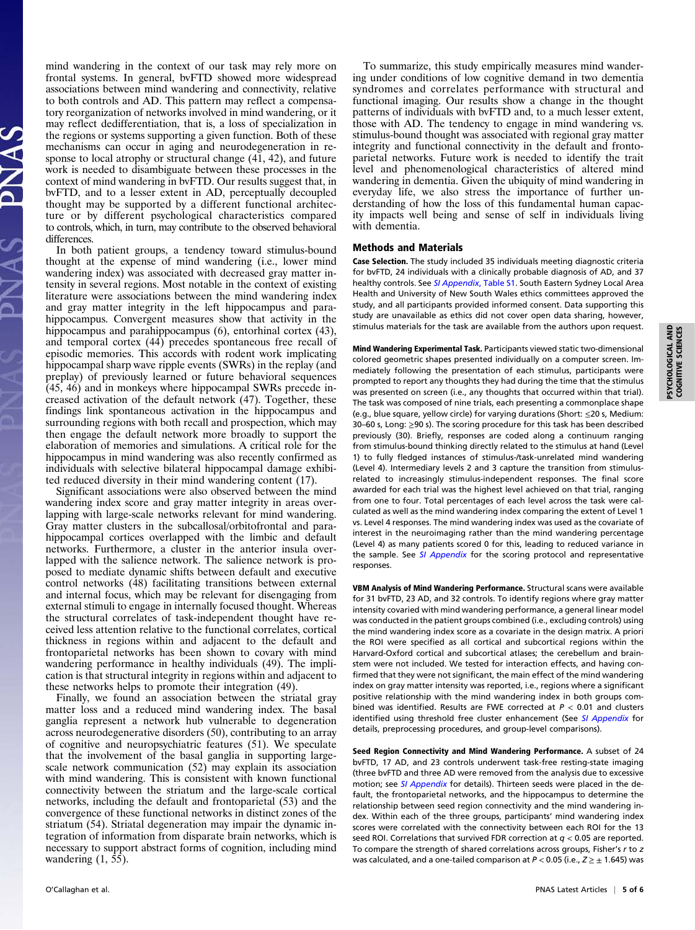mind wandering in the context of our task may rely more on frontal systems. In general, bvFTD showed more widespread associations between mind wandering and connectivity, relative to both controls and AD. This pattern may reflect a compensatory reorganization of networks involved in mind wandering, or it may reflect dedifferentiation, that is, a loss of specialization in the regions or systems supporting a given function. Both of these mechanisms can occur in aging and neurodegeneration in response to local atrophy or structural change (41, 42), and future work is needed to disambiguate between these processes in the context of mind wandering in bvFTD. Our results suggest that, in bvFTD, and to a lesser extent in AD, perceptually decoupled thought may be supported by a different functional architecture or by different psychological characteristics compared to controls, which, in turn, may contribute to the observed behavioral differences.

In both patient groups, a tendency toward stimulus-bound thought at the expense of mind wandering (i.e., lower mind wandering index) was associated with decreased gray matter intensity in several regions. Most notable in the context of existing literature were associations between the mind wandering index and gray matter integrity in the left hippocampus and parahippocampus. Convergent measures show that activity in the hippocampus and parahippocampus (6), entorhinal cortex (43), and temporal cortex (44) precedes spontaneous free recall of episodic memories. This accords with rodent work implicating hippocampal sharp wave ripple events (SWRs) in the replay (and preplay) of previously learned or future behavioral sequences (45, 46) and in monkeys where hippocampal SWRs precede increased activation of the default network (47). Together, these findings link spontaneous activation in the hippocampus and surrounding regions with both recall and prospection, which may then engage the default network more broadly to support the elaboration of memories and simulations. A critical role for the hippocampus in mind wandering was also recently confirmed as individuals with selective bilateral hippocampal damage exhibited reduced diversity in their mind wandering content (17).

Significant associations were also observed between the mind wandering index score and gray matter integrity in areas overlapping with large-scale networks relevant for mind wandering. Gray matter clusters in the subcallosal/orbitofrontal and parahippocampal cortices overlapped with the limbic and default networks. Furthermore, a cluster in the anterior insula overlapped with the salience network. The salience network is proposed to mediate dynamic shifts between default and executive control networks (48) facilitating transitions between external and internal focus, which may be relevant for disengaging from external stimuli to engage in internally focused thought. Whereas the structural correlates of task-independent thought have received less attention relative to the functional correlates, cortical thickness in regions within and adjacent to the default and frontoparietal networks has been shown to covary with mind wandering performance in healthy individuals (49). The implication is that structural integrity in regions within and adjacent to these networks helps to promote their integration (49).

Finally, we found an association between the striatal gray matter loss and a reduced mind wandering index. The basal ganglia represent a network hub vulnerable to degeneration across neurodegenerative disorders (50), contributing to an array of cognitive and neuropsychiatric features (51). We speculate that the involvement of the basal ganglia in supporting largescale network communication (52) may explain its association with mind wandering. This is consistent with known functional connectivity between the striatum and the large-scale cortical networks, including the default and frontoparietal (53) and the convergence of these functional networks in distinct zones of the striatum (54). Striatal degeneration may impair the dynamic integration of information from disparate brain networks, which is necessary to support abstract forms of cognition, including mind wandering  $(1, 55)$ .

To summarize, this study empirically measures mind wandering under conditions of low cognitive demand in two dementia syndromes and correlates performance with structural and functional imaging. Our results show a change in the thought patterns of individuals with bvFTD and, to a much lesser extent, those with AD. The tendency to engage in mind wandering vs. stimulus-bound thought was associated with regional gray matter integrity and functional connectivity in the default and frontoparietal networks. Future work is needed to identify the trait level and phenomenological characteristics of altered mind wandering in dementia. Given the ubiquity of mind wandering in everyday life, we also stress the importance of further understanding of how the loss of this fundamental human capacity impacts well being and sense of self in individuals living with dementia.

### Methods and Materials

Case Selection. The study included 35 individuals meeting diagnostic criteria for bvFTD, 24 individuals with a clinically probable diagnosis of AD, and 37 healthy controls. See [SI Appendix](https://www.pnas.org/lookup/suppl/doi:10.1073/pnas.1818523116/-/DCSupplemental), Table S1. South Eastern Sydney Local Area Health and University of New South Wales ethics committees approved the study, and all participants provided informed consent. Data supporting this study are unavailable as ethics did not cover open data sharing, however, stimulus materials for the task are available from the authors upon request.

Mind Wandering Experimental Task. Participants viewed static two-dimensional colored geometric shapes presented individually on a computer screen. Immediately following the presentation of each stimulus, participants were prompted to report any thoughts they had during the time that the stimulus was presented on screen (i.e., any thoughts that occurred within that trial). The task was composed of nine trials, each presenting a commonplace shape (e.g., blue square, yellow circle) for varying durations (Short: ≤20 s, Medium: 30–60 s, Long: ≥90 s). The scoring procedure for this task has been described previously (30). Briefly, responses are coded along a continuum ranging from stimulus-bound thinking directly related to the stimulus at hand (Level 1) to fully fledged instances of stimulus-/task-unrelated mind wandering (Level 4). Intermediary levels 2 and 3 capture the transition from stimulusrelated to increasingly stimulus-independent responses. The final score awarded for each trial was the highest level achieved on that trial, ranging from one to four. Total percentages of each level across the task were calculated as well as the mind wandering index comparing the extent of Level 1 vs. Level 4 responses. The mind wandering index was used as the covariate of interest in the neuroimaging rather than the mind wandering percentage (Level 4) as many patients scored 0 for this, leading to reduced variance in the sample. See [SI Appendix](https://www.pnas.org/lookup/suppl/doi:10.1073/pnas.1818523116/-/DCSupplemental) for the scoring protocol and representative responses.

VBM Analysis of Mind Wandering Performance. Structural scans were available for 31 bvFTD, 23 AD, and 32 controls. To identify regions where gray matter intensity covaried with mind wandering performance, a general linear model was conducted in the patient groups combined (i.e., excluding controls) using the mind wandering index score as a covariate in the design matrix. A priori the ROI were specified as all cortical and subcortical regions within the Harvard-Oxford cortical and subcortical atlases; the cerebellum and brainstem were not included. We tested for interaction effects, and having confirmed that they were not significant, the main effect of the mind wandering index on gray matter intensity was reported, i.e., regions where a significant positive relationship with the mind wandering index in both groups combined was identified. Results are FWE corrected at  $P < 0.01$  and clusters identified using threshold free cluster enhancement (See [SI Appendix](https://www.pnas.org/lookup/suppl/doi:10.1073/pnas.1818523116/-/DCSupplemental) for details, preprocessing procedures, and group-level comparisons).

Seed Region Connectivity and Mind Wandering Performance. A subset of 24 bvFTD, 17 AD, and 23 controls underwent task-free resting-state imaging (three bvFTD and three AD were removed from the analysis due to excessive motion; see [SI Appendix](https://www.pnas.org/lookup/suppl/doi:10.1073/pnas.1818523116/-/DCSupplemental) for details). Thirteen seeds were placed in the default, the frontoparietal networks, and the hippocampus to determine the relationship between seed region connectivity and the mind wandering index. Within each of the three groups, participants' mind wandering index scores were correlated with the connectivity between each ROI for the 13 seed ROI. Correlations that survived FDR correction at  $q < 0.05$  are reported. To compare the strength of shared correlations across groups, Fisher's r to z was calculated, and a one-tailed comparison at  $P < 0.05$  (i.e.,  $Z \geq \pm 1.645$ ) was